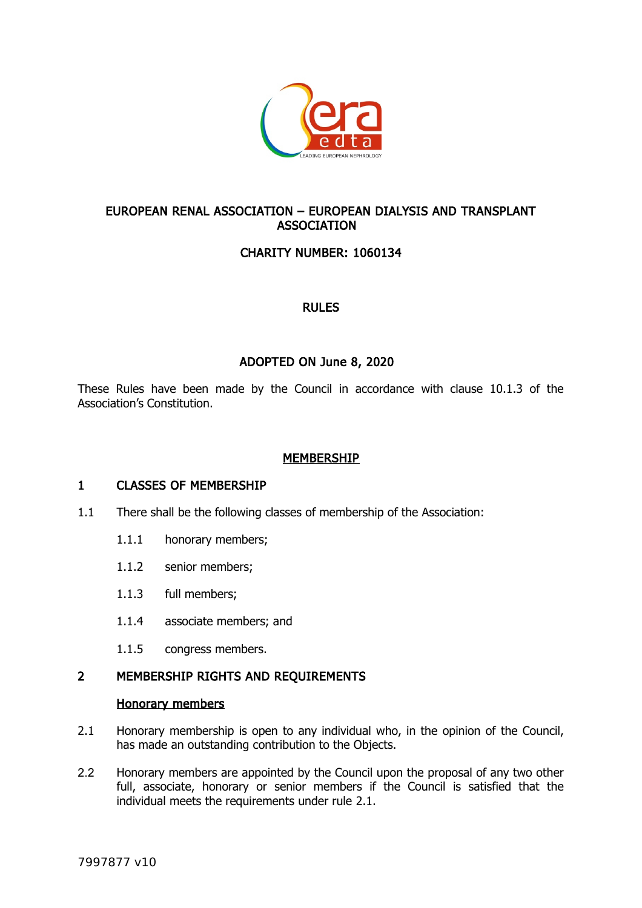

# EUROPEAN RENAL ASSOCIATION – EUROPEAN DIALYSIS AND TRANSPLANT **ASSOCIATION**

# CHARITY NUMBER: 1060134

### RULES

# ADOPTED ON June 8, 2020

These Rules have been made by the Council in accordance with clause 10.1.3 of the Association's Constitution.

## MEMBERSHIP

### 1 CLASSES OF MEMBERSHIP

- 1.1 There shall be the following classes of membership of the Association:
	- 1.1.1 honorary members;
	- 1.1.2 senior members;
	- 1.1.3 full members;
	- 1.1.4 associate members; and
	- 1.1.5 congress members.

### 2 MEMBERSHIP RIGHTS AND REQUIREMENTS

#### <span id="page-0-0"></span>Honorary members

- 2.1 Honorary membership is open to any individual who, in the opinion of the Council, has made an outstanding contribution to the Objects.
- 2.2 Honorary members are appointed by the Council upon the proposal of any two other full, associate, honorary or senior members if the Council is satisfied that the individual meets the requirements under rule [2.1.](#page-0-0)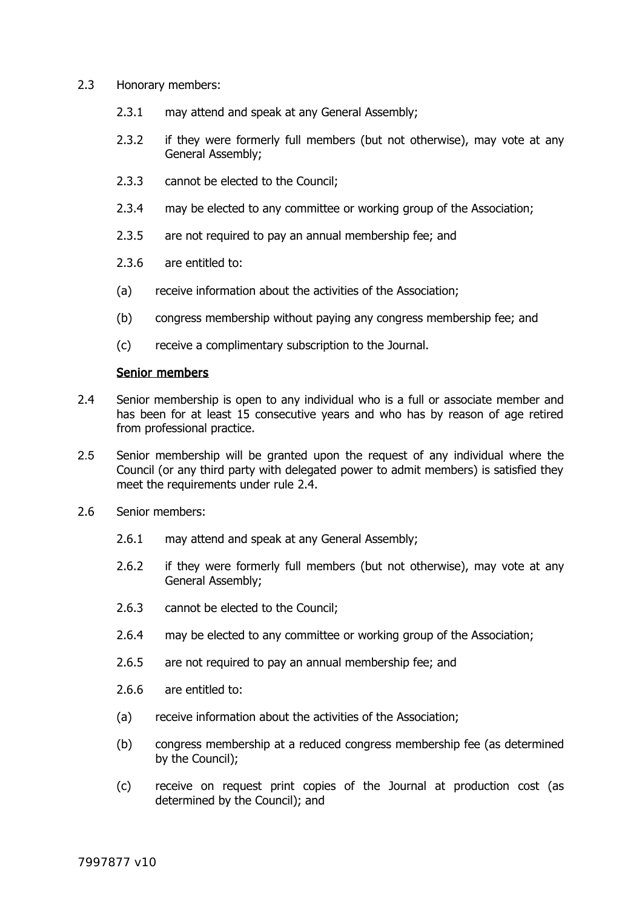- 2.3 Honorary members:
	- 2.3.1 may attend and speak at any General Assembly;
	- 2.3.2 if they were formerly full members (but not otherwise), may vote at any General Assembly;
	- 2.3.3 cannot be elected to the Council;
	- 2.3.4 may be elected to any committee or working group of the Association;
	- 2.3.5 are not required to pay an annual membership fee; and
	- 2.3.6 are entitled to:
	- (a) receive information about the activities of the Association;
	- (b) congress membership without paying any congress membership fee; and
	- (c) receive a complimentary subscription to the Journal.

#### <span id="page-1-0"></span>Senior members

- 2.4 Senior membership is open to any individual who is a full or associate member and has been for at least 15 consecutive years and who has by reason of age retired from professional practice.
- 2.5 Senior membership will be granted upon the request of any individual where the Council (or any third party with delegated power to admit members) is satisfied they meet the requirements under rule [2.4.](#page-1-0)
- 2.6 Senior members:
	- 2.6.1 may attend and speak at any General Assembly;
	- 2.6.2 if they were formerly full members (but not otherwise), may vote at any General Assembly;
	- 2.6.3 cannot be elected to the Council;
	- 2.6.4 may be elected to any committee or working group of the Association;
	- 2.6.5 are not required to pay an annual membership fee; and
	- 2.6.6 are entitled to:
	- (a) receive information about the activities of the Association;
	- (b) congress membership at a reduced congress membership fee (as determined by the Council);
	- (c) receive on request print copies of the Journal at production cost (as determined by the Council); and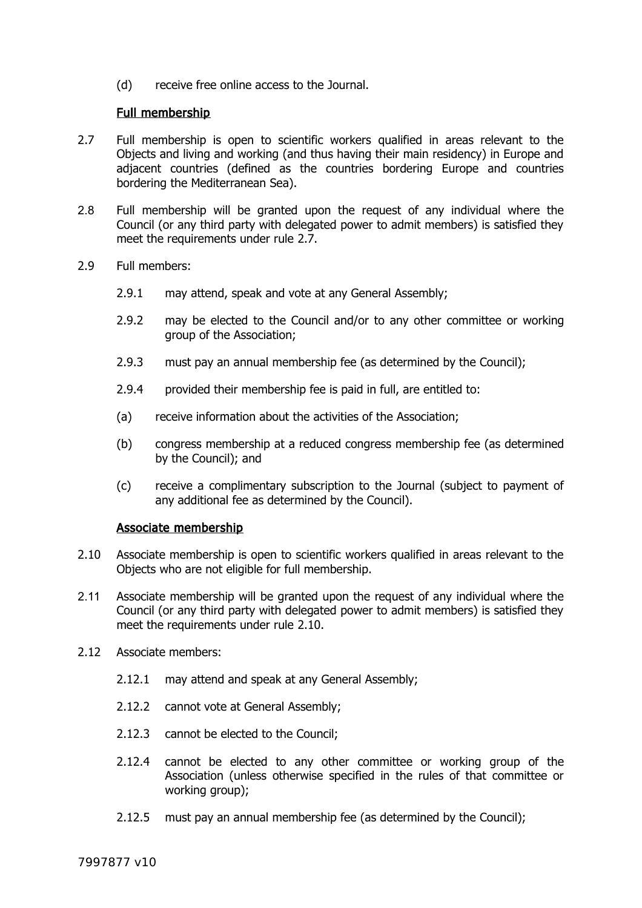(d) receive free online access to the Journal.

### <span id="page-2-1"></span>Full membership

- 2.7 Full membership is open to scientific workers qualified in areas relevant to the Objects and living and working (and thus having their main residency) in Europe and adjacent countries (defined as the countries bordering Europe and countries bordering the Mediterranean Sea).
- 2.8 Full membership will be granted upon the request of any individual where the Council (or any third party with delegated power to admit members) is satisfied they meet the requirements under rule [2.7.](#page-2-1)
- 2.9 Full members:
	- 2.9.1 may attend, speak and vote at any General Assembly;
	- 2.9.2 may be elected to the Council and/or to any other committee or working group of the Association;
	- 2.9.3 must pay an annual membership fee (as determined by the Council);
	- 2.9.4 provided their membership fee is paid in full, are entitled to:
	- (a) receive information about the activities of the Association;
	- (b) congress membership at a reduced congress membership fee (as determined by the Council); and
	- (c) receive a complimentary subscription to the Journal (subject to payment of any additional fee as determined by the Council).

### <span id="page-2-0"></span>Associate membership

- 2.10 Associate membership is open to scientific workers qualified in areas relevant to the Objects who are not eligible for full membership.
- 2.11 Associate membership will be granted upon the request of any individual where the Council (or any third party with delegated power to admit members) is satisfied they meet the requirements under rule [2.10.](#page-2-0)
- 2.12 Associate members:
	- 2.12.1 may attend and speak at any General Assembly;
	- 2.12.2 cannot vote at General Assembly;
	- 2.12.3 cannot be elected to the Council;
	- 2.12.4 cannot be elected to any other committee or working group of the Association (unless otherwise specified in the rules of that committee or working group);
	- 2.12.5 must pay an annual membership fee (as determined by the Council);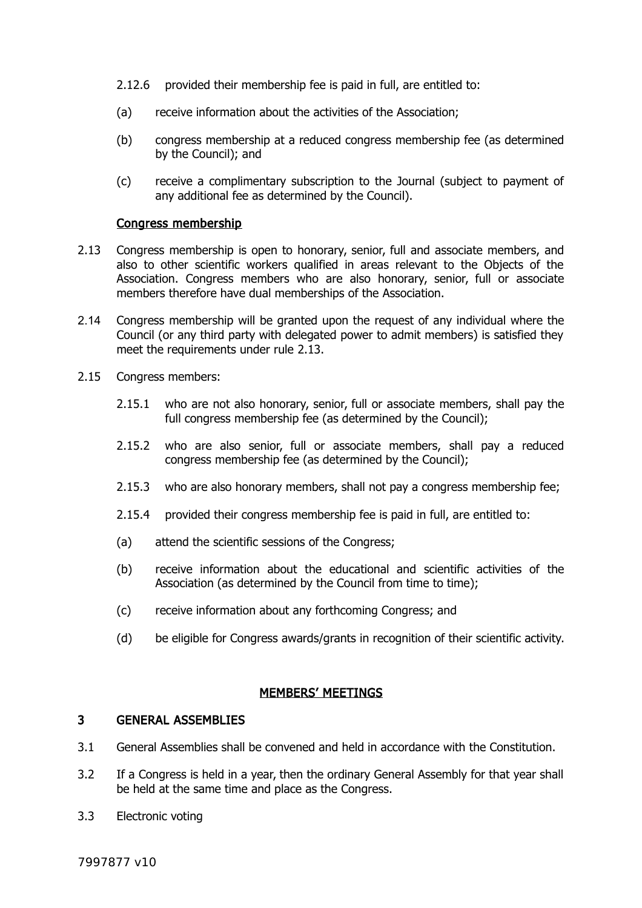- 2.12.6 provided their membership fee is paid in full, are entitled to:
- (a) receive information about the activities of the Association;
- (b) congress membership at a reduced congress membership fee (as determined by the Council); and
- (c) receive a complimentary subscription to the Journal (subject to payment of any additional fee as determined by the Council).

#### <span id="page-3-0"></span>Congress membership

- 2.13 Congress membership is open to honorary, senior, full and associate members, and also to other scientific workers qualified in areas relevant to the Objects of the Association. Congress members who are also honorary, senior, full or associate members therefore have dual memberships of the Association.
- 2.14 Congress membership will be granted upon the request of any individual where the Council (or any third party with delegated power to admit members) is satisfied they meet the requirements under rule [2.13.](#page-3-0)
- 2.15 Congress members:
	- 2.15.1 who are not also honorary, senior, full or associate members, shall pay the full congress membership fee (as determined by the Council);
	- 2.15.2 who are also senior, full or associate members, shall pay a reduced congress membership fee (as determined by the Council);
	- 2.15.3 who are also honorary members, shall not pay a congress membership fee;
	- 2.15.4 provided their congress membership fee is paid in full, are entitled to:
	- (a) attend the scientific sessions of the Congress;
	- (b) receive information about the educational and scientific activities of the Association (as determined by the Council from time to time);
	- (c) receive information about any forthcoming Congress; and
	- (d) be eligible for Congress awards/grants in recognition of their scientific activity.

#### MEMBERS' MEETINGS

#### <span id="page-3-1"></span>3 GENERAL ASSEMBLIES

- 3.1 General Assemblies shall be convened and held in accordance with the Constitution.
- 3.2 If a Congress is held in a year, then the ordinary General Assembly for that year shall be held at the same time and place as the Congress.
- 3.3 Electronic voting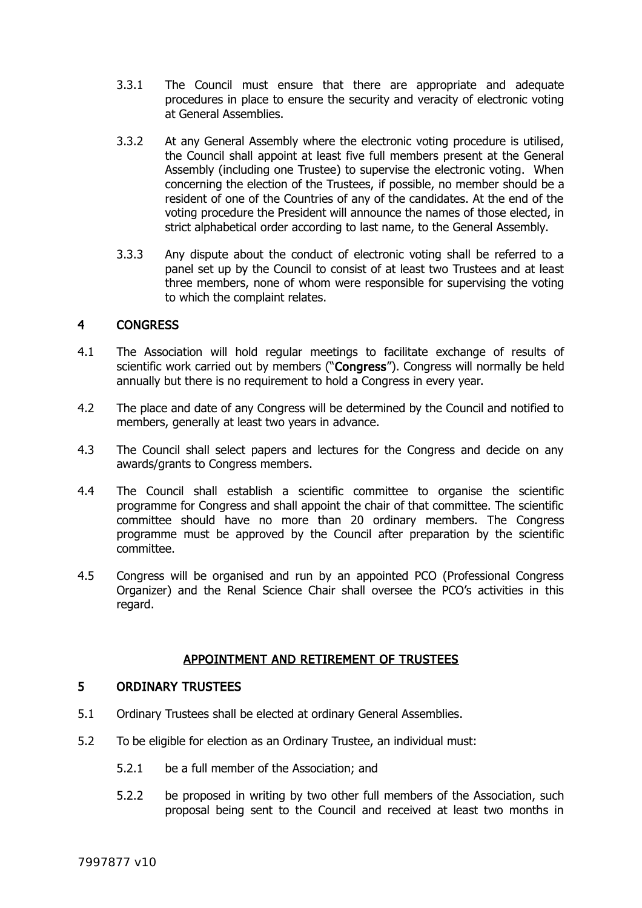- 3.3.1 The Council must ensure that there are appropriate and adequate procedures in place to ensure the security and veracity of electronic voting at General Assemblies.
- 3.3.2 At any General Assembly where the electronic voting procedure is utilised, the Council shall appoint at least five full members present at the General Assembly (including one Trustee) to supervise the electronic voting. When concerning the election of the Trustees, if possible, no member should be a resident of one of the Countries of any of the candidates. At the end of the voting procedure the President will announce the names of those elected, in strict alphabetical order according to last name, to the General Assembly.
- 3.3.3 Any dispute about the conduct of electronic voting shall be referred to a panel set up by the Council to consist of at least two Trustees and at least three members, none of whom were responsible for supervising the voting to which the complaint relates.

### 4 CONGRESS

- <span id="page-4-1"></span>4.1 The Association will hold regular meetings to facilitate exchange of results of scientific work carried out by members ("Congress"). Congress will normally be held annually but there is no requirement to hold a Congress in every year.
- 4.2 The place and date of any Congress will be determined by the Council and notified to members, generally at least two years in advance.
- 4.3 The Council shall select papers and lectures for the Congress and decide on any awards/grants to Congress members.
- 4.4 The Council shall establish a scientific committee to organise the scientific programme for Congress and shall appoint the chair of that committee. The scientific committee should have no more than 20 ordinary members. The Congress programme must be approved by the Council after preparation by the scientific committee.
- 4.5 Congress will be organised and run by an appointed PCO (Professional Congress Organizer) and the Renal Science Chair shall oversee the PCO's activities in this regard.

## APPOINTMENT AND RETIREMENT OF TRUSTEES

### <span id="page-4-0"></span>5 ORDINARY TRUSTEES

- 5.1 Ordinary Trustees shall be elected at ordinary General Assemblies.
- 5.2 To be eligible for election as an Ordinary Trustee, an individual must:
	- 5.2.1 be a full member of the Association; and
	- 5.2.2 be proposed in writing by two other full members of the Association, such proposal being sent to the Council and received at least two months in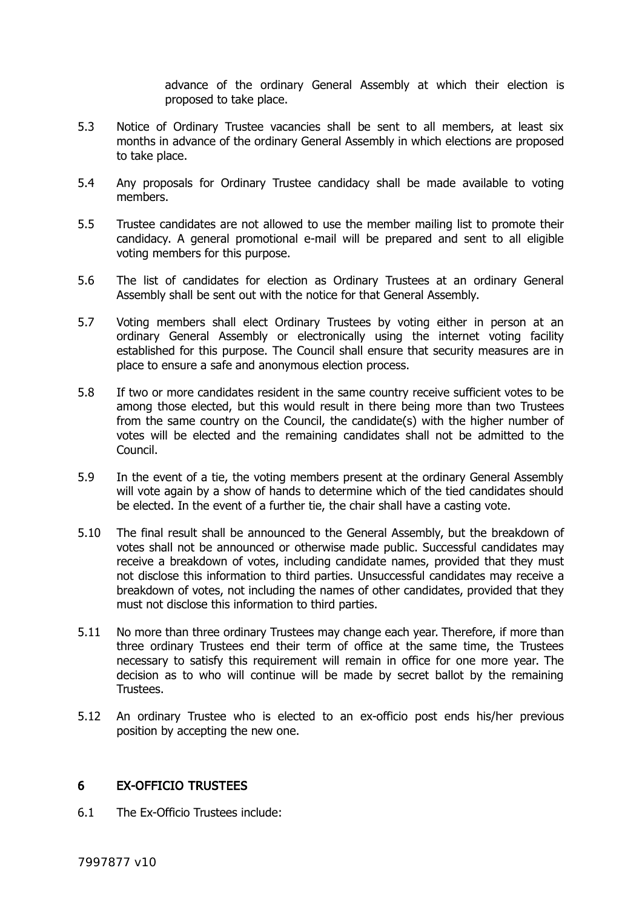advance of the ordinary General Assembly at which their election is proposed to take place.

- 5.3 Notice of Ordinary Trustee vacancies shall be sent to all members, at least six months in advance of the ordinary General Assembly in which elections are proposed to take place.
- 5.4 Any proposals for Ordinary Trustee candidacy shall be made available to voting members.
- 5.5 Trustee candidates are not allowed to use the member mailing list to promote their candidacy. A general promotional e-mail will be prepared and sent to all eligible voting members for this purpose.
- 5.6 The list of candidates for election as Ordinary Trustees at an ordinary General Assembly shall be sent out with the notice for that General Assembly.
- 5.7 Voting members shall elect Ordinary Trustees by voting either in person at an ordinary General Assembly or electronically using the internet voting facility established for this purpose. The Council shall ensure that security measures are in place to ensure a safe and anonymous election process.
- 5.8 If two or more candidates resident in the same country receive sufficient votes to be among those elected, but this would result in there being more than two Trustees from the same country on the Council, the candidate(s) with the higher number of votes will be elected and the remaining candidates shall not be admitted to the Council.
- 5.9 In the event of a tie, the voting members present at the ordinary General Assembly will vote again by a show of hands to determine which of the tied candidates should be elected. In the event of a further tie, the chair shall have a casting vote.
- 5.10 The final result shall be announced to the General Assembly, but the breakdown of votes shall not be announced or otherwise made public. Successful candidates may receive a breakdown of votes, including candidate names, provided that they must not disclose this information to third parties. Unsuccessful candidates may receive a breakdown of votes, not including the names of other candidates, provided that they must not disclose this information to third parties.
- 5.11 No more than three ordinary Trustees may change each year. Therefore, if more than three ordinary Trustees end their term of office at the same time, the Trustees necessary to satisfy this requirement will remain in office for one more year. The decision as to who will continue will be made by secret ballot by the remaining Trustees.
- 5.12 An ordinary Trustee who is elected to an ex-officio post ends his/her previous position by accepting the new one.

## <span id="page-5-0"></span>6 EX-OFFICIO TRUSTEES

6.1 The Ex-Officio Trustees include: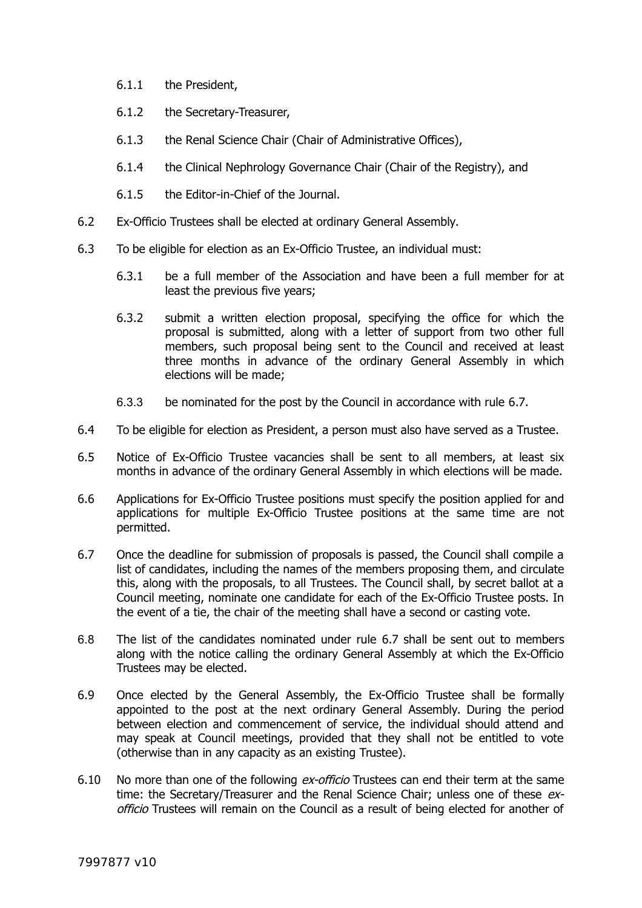- 6.1.1 the President,
- 6.1.2 the Secretary-Treasurer,
- 6.1.3 the Renal Science Chair (Chair of Administrative Offices),
- 6.1.4 the Clinical Nephrology Governance Chair (Chair of the Registry), and
- 6.1.5 the Editor-in-Chief of the Journal.
- 6.2 Ex-Officio Trustees shall be elected at ordinary General Assembly.
- 6.3 To be eligible for election as an Ex-Officio Trustee, an individual must:
	- 6.3.1 be a full member of the Association and have been a full member for at least the previous five years;
	- 6.3.2 submit a written election proposal, specifying the office for which the proposal is submitted, along with a letter of support from two other full members, such proposal being sent to the Council and received at least three months in advance of the ordinary General Assembly in which elections will be made;
	- 6.3.3 be nominated for the post by the Council in accordance with rule [6.7.](#page-6-0)
- 6.4 To be eligible for election as President, a person must also have served as a Trustee.
- 6.5 Notice of Ex-Officio Trustee vacancies shall be sent to all members, at least six months in advance of the ordinary General Assembly in which elections will be made.
- 6.6 Applications for Ex-Officio Trustee positions must specify the position applied for and applications for multiple Ex-Officio Trustee positions at the same time are not permitted.
- <span id="page-6-0"></span>6.7 Once the deadline for submission of proposals is passed, the Council shall compile a list of candidates, including the names of the members proposing them, and circulate this, along with the proposals, to all Trustees. The Council shall, by secret ballot at a Council meeting, nominate one candidate for each of the Ex-Officio Trustee posts. In the event of a tie, the chair of the meeting shall have a second or casting vote.
- 6.8 The list of the candidates nominated under rule [6.7](#page-6-0) shall be sent out to members along with the notice calling the ordinary General Assembly at which the Ex-Officio Trustees may be elected.
- 6.9 Once elected by the General Assembly, the Ex-Officio Trustee shall be formally appointed to the post at the next ordinary General Assembly. During the period between election and commencement of service, the individual should attend and may speak at Council meetings, provided that they shall not be entitled to vote (otherwise than in any capacity as an existing Trustee).
- 6.10 No more than one of the following ex-officio Trustees can end their term at the same time: the Secretary/Treasurer and the Renal Science Chair; unless one of these exofficio Trustees will remain on the Council as a result of being elected for another of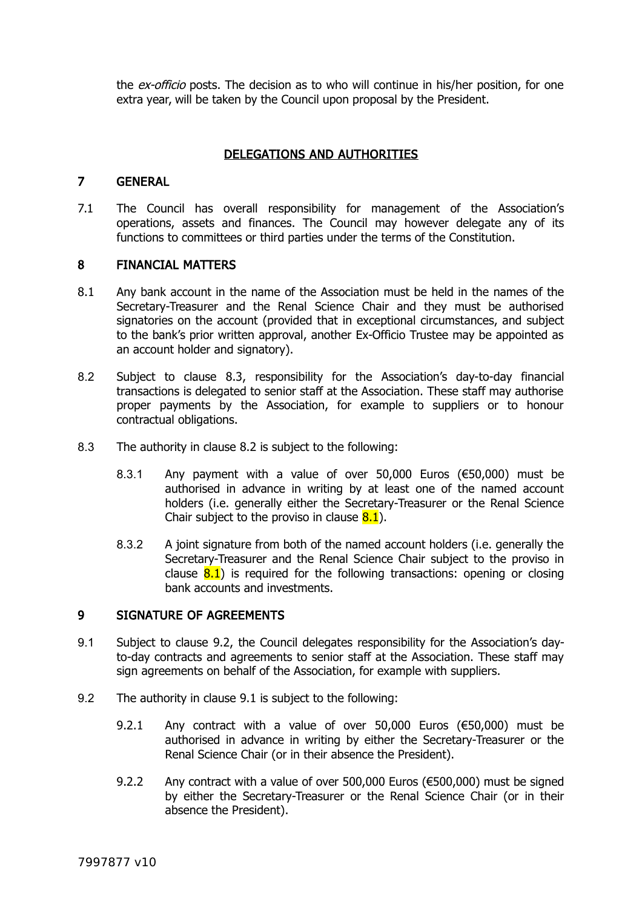the *ex-officio* posts. The decision as to who will continue in his/her position, for one extra year, will be taken by the Council upon proposal by the President.

## DELEGATIONS AND AUTHORITIES

### 7 GENERAL

7.1 The Council has overall responsibility for management of the Association's operations, assets and finances. The Council may however delegate any of its functions to committees or third parties under the terms of the Constitution.

### 8 FINANCIAL MATTERS

- <span id="page-7-2"></span>8.1 Any bank account in the name of the Association must be held in the names of the Secretary-Treasurer and the Renal Science Chair and they must be authorised signatories on the account (provided that in exceptional circumstances, and subject to the bank's prior written approval, another Ex-Officio Trustee may be appointed as an account holder and signatory).
- <span id="page-7-3"></span>8.2 Subject to clause [8.3,](#page-7-4) responsibility for the Association's day-to-day financial transactions is delegated to senior staff at the Association. These staff may authorise proper payments by the Association, for example to suppliers or to honour contractual obligations.
- <span id="page-7-4"></span>8.3 The authority in clause [8.2](#page-7-3) is subject to the following:
	- 8.3.1 Any payment with a value of over 50,000 Euros (€50,000) must be authorised in advance in writing by at least one of the named account holders (i.e. generally either the Secretary-Treasurer or the Renal Science Chair subject to the proviso in clause  $8.1$ ).
	- 8.3.2 A joint signature from both of the named account holders (i.e. generally the Secretary-Treasurer and the Renal Science Chair subject to the proviso in clause  $8.1$ ) is required for the following transactions: opening or closing bank accounts and investments.

### 9 SIGNATURE OF AGREEMENTS

- <span id="page-7-0"></span>9.1 Subject to clause [9.2,](#page-7-1) the Council delegates responsibility for the Association's dayto-day contracts and agreements to senior staff at the Association. These staff may sign agreements on behalf of the Association, for example with suppliers.
- <span id="page-7-1"></span>9.2 The authority in clause [9.1](#page-7-0) is subject to the following:
	- 9.2.1 Any contract with a value of over 50,000 Euros (€50,000) must be authorised in advance in writing by either the Secretary-Treasurer or the Renal Science Chair (or in their absence the President).
	- 9.2.2 Any contract with a value of over 500,000 Euros (€500,000) must be signed by either the Secretary-Treasurer or the Renal Science Chair (or in their absence the President).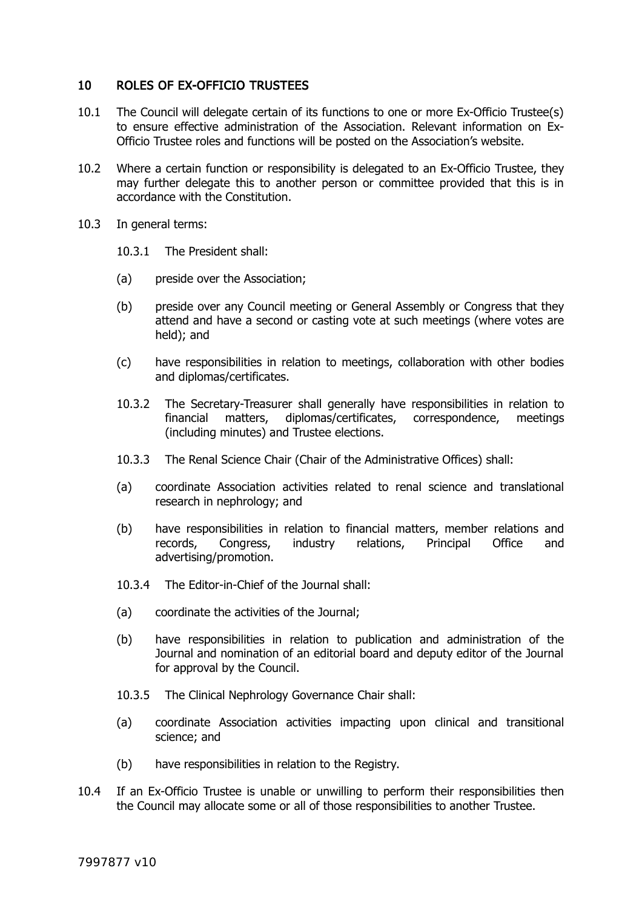### 10 ROLES OF EX-OFFICIO TRUSTEES

- 10.1 The Council will delegate certain of its functions to one or more Ex-Officio Trustee(s) to ensure effective administration of the Association. Relevant information on Ex-Officio Trustee roles and functions will be posted on the Association's website.
- 10.2 Where a certain function or responsibility is delegated to an Ex-Officio Trustee, they may further delegate this to another person or committee provided that this is in accordance with the Constitution.
- 10.3 In general terms:
	- 10.3.1 The President shall:
	- (a) preside over the Association;
	- (b) preside over any Council meeting or General Assembly or Congress that they attend and have a second or casting vote at such meetings (where votes are held); and
	- (c) have responsibilities in relation to meetings, collaboration with other bodies and diplomas/certificates.
	- 10.3.2 The Secretary-Treasurer shall generally have responsibilities in relation to financial matters, diplomas/certificates, correspondence, meetings (including minutes) and Trustee elections.
	- 10.3.3 The Renal Science Chair (Chair of the Administrative Offices) shall:
	- (a) coordinate Association activities related to renal science and translational research in nephrology; and
	- (b) have responsibilities in relation to financial matters, member relations and records, Congress, industry relations, Principal Office and advertising/promotion.
	- 10.3.4 The Editor-in-Chief of the Journal shall:
	- (a) coordinate the activities of the Journal;
	- (b) have responsibilities in relation to publication and administration of the Journal and nomination of an editorial board and deputy editor of the Journal for approval by the Council.
	- 10.3.5 The Clinical Nephrology Governance Chair shall:
	- (a) coordinate Association activities impacting upon clinical and transitional science; and
	- (b) have responsibilities in relation to the Registry.
- 10.4 If an Ex-Officio Trustee is unable or unwilling to perform their responsibilities then the Council may allocate some or all of those responsibilities to another Trustee.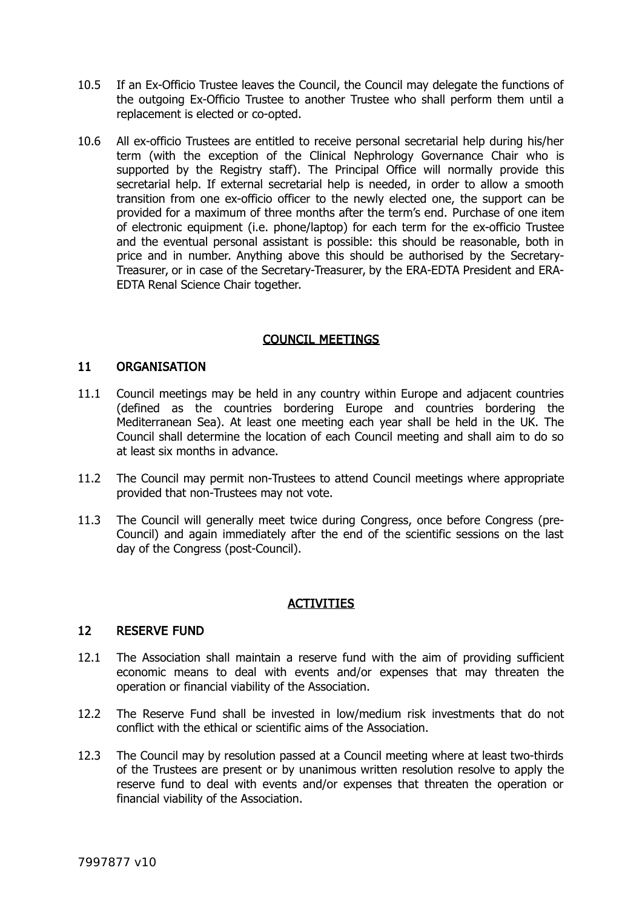- 10.5 If an Ex-Officio Trustee leaves the Council, the Council may delegate the functions of the outgoing Ex-Officio Trustee to another Trustee who shall perform them until a replacement is elected or co-opted.
- 10.6 All ex-officio Trustees are entitled to receive personal secretarial help during his/her term (with the exception of the Clinical Nephrology Governance Chair who is supported by the Registry staff). The Principal Office will normally provide this secretarial help. If external secretarial help is needed, in order to allow a smooth transition from one ex-officio officer to the newly elected one, the support can be provided for a maximum of three months after the term's end. Purchase of one item of electronic equipment (i.e. phone/laptop) for each term for the ex-officio Trustee and the eventual personal assistant is possible: this should be reasonable, both in price and in number. Anything above this should be authorised by the Secretary-Treasurer, or in case of the Secretary-Treasurer, by the ERA-EDTA President and ERA-EDTA Renal Science Chair together.

## COUNCIL MEETINGS

### 11 ORGANISATION

- 11.1 Council meetings may be held in any country within Europe and adjacent countries (defined as the countries bordering Europe and countries bordering the Mediterranean Sea). At least one meeting each year shall be held in the UK. The Council shall determine the location of each Council meeting and shall aim to do so at least six months in advance.
- 11.2 The Council may permit non-Trustees to attend Council meetings where appropriate provided that non-Trustees may not vote.
- 11.3 The Council will generally meet twice during Congress, once before Congress (pre-Council) and again immediately after the end of the scientific sessions on the last day of the Congress (post-Council).

### ACTIVITIES

### 12 RESERVE FUND

- 12.1 The Association shall maintain a reserve fund with the aim of providing sufficient economic means to deal with events and/or expenses that may threaten the operation or financial viability of the Association.
- 12.2 The Reserve Fund shall be invested in low/medium risk investments that do not conflict with the ethical or scientific aims of the Association.
- 12.3 The Council may by resolution passed at a Council meeting where at least two-thirds of the Trustees are present or by unanimous written resolution resolve to apply the reserve fund to deal with events and/or expenses that threaten the operation or financial viability of the Association.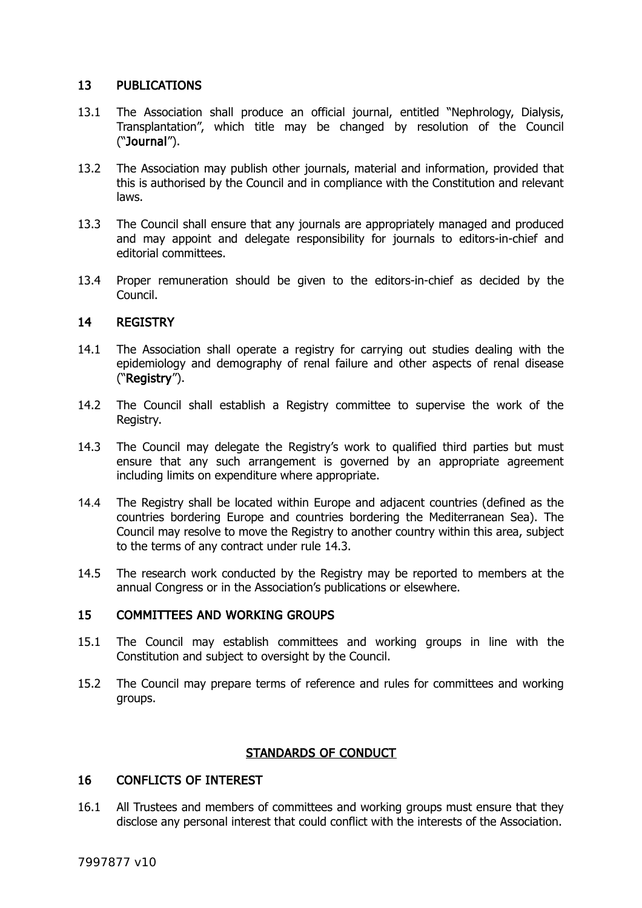## 13 PUBLICATIONS

- <span id="page-10-2"></span>13.1 The Association shall produce an official journal, entitled "Nephrology, Dialysis, Transplantation", which title may be changed by resolution of the Council ("Journal").
- 13.2 The Association may publish other journals, material and information, provided that this is authorised by the Council and in compliance with the Constitution and relevant laws.
- 13.3 The Council shall ensure that any journals are appropriately managed and produced and may appoint and delegate responsibility for journals to editors-in-chief and editorial committees.
- 13.4 Proper remuneration should be given to the editors-in-chief as decided by the Council.

### 14 REGISTRY

- <span id="page-10-1"></span>14.1 The Association shall operate a registry for carrying out studies dealing with the epidemiology and demography of renal failure and other aspects of renal disease ("Registry").
- 14.2 The Council shall establish a Registry committee to supervise the work of the Registry.
- <span id="page-10-0"></span>14.3 The Council may delegate the Registry's work to qualified third parties but must ensure that any such arrangement is governed by an appropriate agreement including limits on expenditure where appropriate.
- 14.4 The Registry shall be located within Europe and adjacent countries (defined as the countries bordering Europe and countries bordering the Mediterranean Sea). The Council may resolve to move the Registry to another country within this area, subject to the terms of any contract under rule [14.3.](#page-10-0)
- 14.5 The research work conducted by the Registry may be reported to members at the annual Congress or in the Association's publications or elsewhere.

### 15 COMMITTEES AND WORKING GROUPS

- 15.1 The Council may establish committees and working groups in line with the Constitution and subject to oversight by the Council.
- 15.2 The Council may prepare terms of reference and rules for committees and working groups.

## STANDARDS OF CONDUCT

### 16 CONFLICTS OF INTEREST

16.1 All Trustees and members of committees and working groups must ensure that they disclose any personal interest that could conflict with the interests of the Association.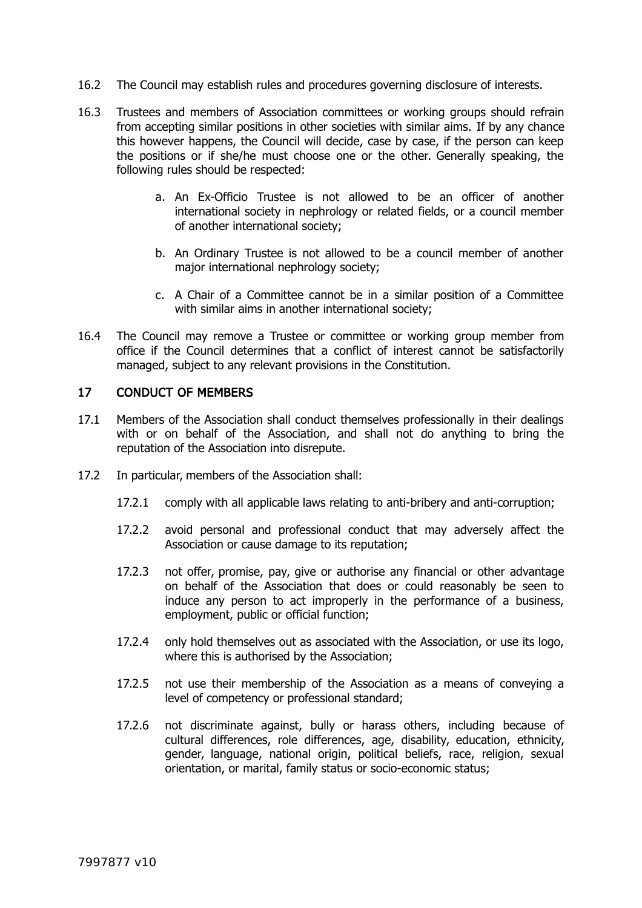- 16.2 The Council may establish rules and procedures governing disclosure of interests.
- 16.3 Trustees and members of Association committees or working groups should refrain from accepting similar positions in other societies with similar aims. If by any chance this however happens, the Council will decide, case by case, if the person can keep the positions or if she/he must choose one or the other. Generally speaking, the following rules should be respected:
	- a. An Ex-Officio Trustee is not allowed to be an officer of another international society in nephrology or related fields, or a council member of another international society;
	- b. An Ordinary Trustee is not allowed to be a council member of another major international nephrology society;
	- c. A Chair of a Committee cannot be in a similar position of a Committee with similar aims in another international society;
- 16.4 The Council may remove a Trustee or committee or working group member from office if the Council determines that a conflict of interest cannot be satisfactorily managed, subject to any relevant provisions in the Constitution.

### <span id="page-11-0"></span>17 CONDUCT OF MEMBERS

- 17.1 Members of the Association shall conduct themselves professionally in their dealings with or on behalf of the Association, and shall not do anything to bring the reputation of the Association into disrepute.
- 17.2 In particular, members of the Association shall:
	- 17.2.1 comply with all applicable laws relating to anti-bribery and anti-corruption;
	- 17.2.2 avoid personal and professional conduct that may adversely affect the Association or cause damage to its reputation;
	- 17.2.3 not offer, promise, pay, give or authorise any financial or other advantage on behalf of the Association that does or could reasonably be seen to induce any person to act improperly in the performance of a business, employment, public or official function;
	- 17.2.4 only hold themselves out as associated with the Association, or use its logo, where this is authorised by the Association;
	- 17.2.5 not use their membership of the Association as a means of conveying a level of competency or professional standard;
	- 17.2.6 not discriminate against, bully or harass others, including because of cultural differences, role differences, age, disability, education, ethnicity, gender, language, national origin, political beliefs, race, religion, sexual orientation, or marital, family status or socio-economic status;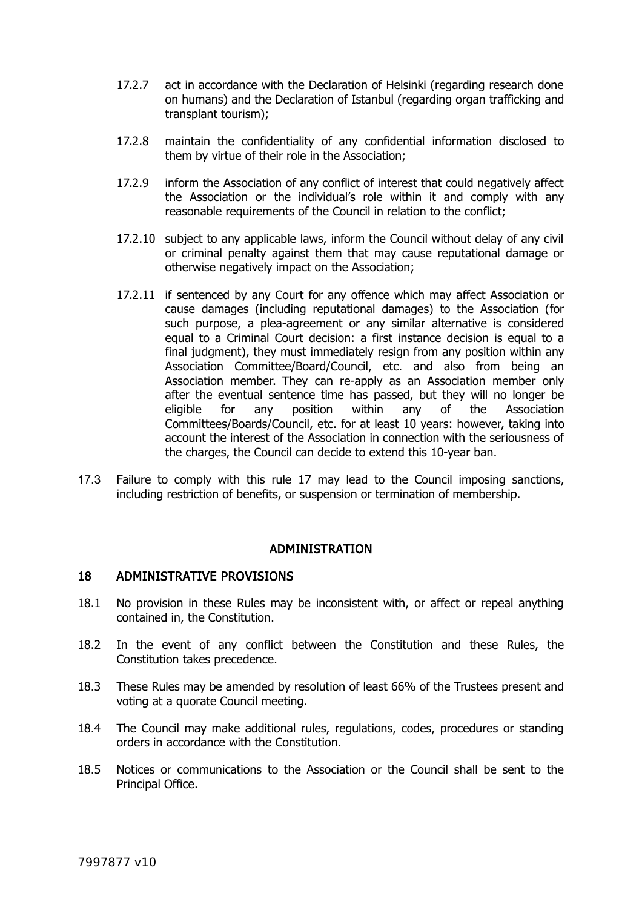- 17.2.7 act in accordance with the Declaration of Helsinki (regarding research done on humans) and the Declaration of Istanbul (regarding organ trafficking and transplant tourism);
- 17.2.8 maintain the confidentiality of any confidential information disclosed to them by virtue of their role in the Association;
- 17.2.9 inform the Association of any conflict of interest that could negatively affect the Association or the individual's role within it and comply with any reasonable requirements of the Council in relation to the conflict;
- 17.2.10 subject to any applicable laws, inform the Council without delay of any civil or criminal penalty against them that may cause reputational damage or otherwise negatively impact on the Association;
- 17.2.11 if sentenced by any Court for any offence which may affect Association or cause damages (including reputational damages) to the Association (for such purpose, a plea-agreement or any similar alternative is considered equal to a Criminal Court decision: a first instance decision is equal to a final judgment), they must immediately resign from any position within any Association Committee/Board/Council, etc. and also from being an Association member. They can re-apply as an Association member only after the eventual sentence time has passed, but they will no longer be eligible for any position within any of the Association Committees/Boards/Council, etc. for at least 10 years: however, taking into account the interest of the Association in connection with the seriousness of the charges, the Council can decide to extend this 10-year ban.
- 17.3 Failure to comply with this rule [17](#page-11-0) may lead to the Council imposing sanctions, including restriction of benefits, or suspension or termination of membership.

### ADMINISTRATION

#### 18 ADMINISTRATIVE PROVISIONS

- 18.1 No provision in these Rules may be inconsistent with, or affect or repeal anything contained in, the Constitution.
- 18.2 In the event of any conflict between the Constitution and these Rules, the Constitution takes precedence.
- 18.3 These Rules may be amended by resolution of least 66% of the Trustees present and voting at a quorate Council meeting.
- 18.4 The Council may make additional rules, regulations, codes, procedures or standing orders in accordance with the Constitution.
- 18.5 Notices or communications to the Association or the Council shall be sent to the Principal Office.